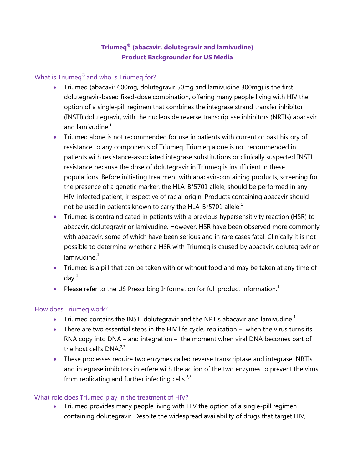# **Triumeq® (abacavir, dolutegravir and lamivudine) Product Backgrounder for US Media**

## What is Triumeq<sup>®</sup> and who is Triumeg for?

- Triumeq (abacavir 600mg, dolutegravir 50mg and lamivudine 300mg) is the first dolutegravir-based fixed-dose combination, offering many people living with HIV the option of a single-pill regimen that combines the integrase strand transfer inhibitor (INSTI) dolutegravir, with the nucleoside reverse transcriptase inhibitors (NRTIs) abacavir and lamivudine $<sup>1</sup>$ </sup>
- <span id="page-0-0"></span> Triumeq alone is not recommended for use in patients with current or past history of resistance to any components of Triumeq. Triumeq alone is not recommended in patients with resistance-associated integrase substitutions or clinically suspected INSTI resistance because the dose of dolutegravir in Triumeq is insufficient in these populations. Before initiating treatment with abacavir-containing products, screening for the presence of a genetic marker, the HLA-B\*5701 allele, should be performed in any HIV-infected patient, irrespective of racial origin. Products containing abacavir should not be used in patients known to carry the HLA-B\*5701 allele.<sup>1</sup>
- Triumeq is contraindicated in patients with a previous hypersensitivity reaction (HSR) to abacavir, dolutegravir or lamivudine. However, HSR have been observed more commonly with abacavir, some of which have been serious and in rare cases fatal. Clinically it is not possible to determine whether a HSR with Triumeq is caused by abacavir, dolutegravir or lamivudine $1$
- Triumeg is a pill that can be taken with or without food and may be taken at any time of  $d$ av. $1$
- Please refer to the US Prescribing Information for full product information.<sup>[1](#page-0-0)</sup>

## How does Triumeq work?

- Triumeq contains the INSTI dolutegravir and the NRTIs abacavir and lamivudine.<sup>[1](#page-0-0)</sup>
- There are two essential steps in the HIV life cycle, replication when the virus turns its RNA copy into DNA – and integration – the moment when viral DNA becomes part of the host cell's  $DNA^{2,3}$
- <span id="page-0-2"></span><span id="page-0-1"></span> These processes require two enzymes called reverse transcriptase and integrase. NRTIs and integrase inhibitors interfere with the action of the two enzymes to prevent the virus from replicating and further infecting cells. $2,3$  $2,3$

# What role does Triumeq play in the treatment of HIV?

 Triumeq provides many people living with HIV the option of a single-pill regimen containing dolutegravir. Despite the widespread availability of drugs that target HIV,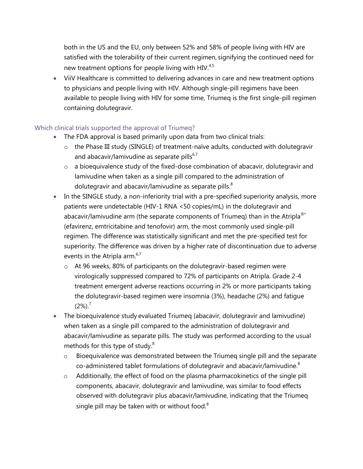both in the US and the EU, only between 52% and 58% of people living with HIV are satisfied with the tolerability of their current regimen, signifying the continued need for new treatment options for people living with HIV.<sup>4,5</sup>

 ViiV Healthcare is committed to delivering advances in care and new treatment options to physicians and people living with HIV. Although single-pill regimens have been available to people living with HIV for some time, Triumeq is the first single-pill regimen containing dolutegravir.

## Which clinical trials supported the approval of Triumeq?

- <span id="page-1-1"></span><span id="page-1-0"></span> The FDA approval is based primarily upon data from two clinical trials:
	- o the Phase III study (SINGLE) of treatment-naïve adults, conducted with dolutegravir and abacavir/lamivudine as separate pills $67$
	- o a bioequivalence study of the fixed-dose combination of abacavir, dolutegravir and lamivudine when taken as a single pill compared to the administration of dolutegravir and abacavir/lamivudine as separate pills. $^{8}$
- <span id="page-1-2"></span>• In the SINGLE study, a non-inferiority trial with a pre-specified superiority analysis, more patients were undetectable (HIV-1 RNA <50 copies/mL) in the dolutegravir and abacavir/lamivudine arm (the separate components of Triumeq) than in the Atripla<sup>®†</sup> (efavirenz, emtricitabine and tenofovir) arm, the most commonly used single-pill regimen. The difference was statistically significant and met the pre-specified test for superiority. The difference was driven by a higher rate of discontinuation due to adverse events in the Atripla arm. $6,7$  $6,7$ 
	- o At 96 weeks, 80% of participants on the dolutegravir-based regimen were virologically suppressed compared to 72% of participants on Atripla. Grade 2-4 treatment emergent adverse reactions occurring in 2% or more participants taking the dolutegravir-based regimen were insomnia (3%), headache (2%) and fatigue  $(2\%)$ .<sup>[7](#page-1-1)</sup>
- The bioequivalence study evaluated Triumeq (abacavir, dolutegravir and lamivudine) when taken as a single pill compared to the administration of dolutegravir and abacavir/lamivudine as separate pills. The study was performed according to the usual methods for this type of study. $8<sup>8</sup>$  $8<sup>8</sup>$ 
	- o Bioequivalence was demonstrated between the Triumeq single pill and the separate co-administered tablet formulations of dolutegravir and abacavir/lamivudine[.](#page-1-2)<sup>8</sup>
	- o Additionally, the effect of food on the plasma pharmacokinetics of the single pill components, abacavir, dolutegravir and lamivudine, was similar to food effects observed with dolutegravir plus abacavir/lamivudine, indicating that the Triumeq single pill may be taken with or without food[.](#page-1-2) $^{8}$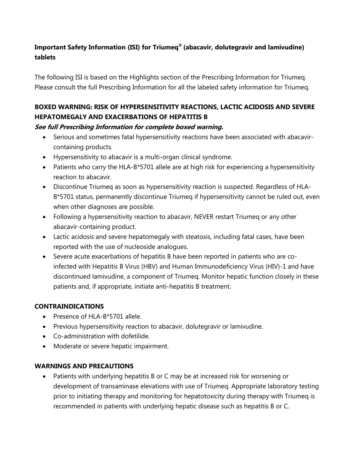# **Important Safety Information (ISI) for Triumeq® (abacavir, dolutegravir and lamivudine) tablets**

The following ISI is based on the Highlights section of the Prescribing Information for Triumeq. Please consult the full Prescribing Information for all the labeled safety information for Triumeq.

# **BOXED WARNING: RISK OF HYPERSENSITIVITY REACTIONS, LACTIC ACIDOSIS AND SEVERE HEPATOMEGALY AND EXACERBATIONS OF HEPATITIS B**

# **See full Prescribing Information for complete boxed warning.**

- Serious and sometimes fatal hypersensitivity reactions have been associated with abacavircontaining products.
- Hypersensitivity to abacavir is a multi-organ clinical syndrome.
- $\bullet$  Patients who carry the HLA-B\*5701 allele are at high risk for experiencing a hypersensitivity reaction to abacavir.
- Discontinue Triumeq as soon as hypersensitivity reaction is suspected. Regardless of HLA-B\*5701 status, permanently discontinue Triumeq if hypersensitivity cannot be ruled out, even when other diagnoses are possible.
- Following a hypersensitivity reaction to abacavir, NEVER restart Triumeq or any other abacavir-containing product.
- Lactic acidosis and severe hepatomegaly with steatosis, including fatal cases, have been reported with the use of nucleoside analogues.
- Severe acute exacerbations of hepatitis B have been reported in patients who are coinfected with Hepatitis B Virus (HBV) and Human Immunodeficiency Virus (HIV)-1 and have discontinued lamivudine, a component of Triumeq. Monitor hepatic function closely in these patients and, if appropriate, initiate anti-hepatitis B treatment.

# **CONTRAINDICATIONS**

- Presence of HLA-B\*5701 allele.
- Previous hypersensitivity reaction to abacavir, dolutegravir or lamivudine.
- Co-administration with dofetilide.
- Moderate or severe hepatic impairment.

## **WARNINGS AND PRECAUTIONS**

• Patients with underlying hepatitis B or C may be at increased risk for worsening or development of transaminase elevations with use of Triumeq. Appropriate laboratory testing prior to initiating therapy and monitoring for hepatotoxicity during therapy with Triumeq is recommended in patients with underlying hepatic disease such as hepatitis B or C.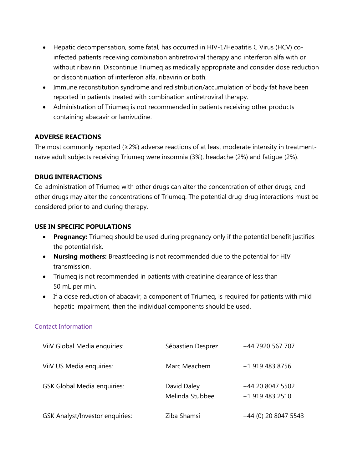- Hepatic decompensation, some fatal, has occurred in HIV-1/Hepatitis C Virus (HCV) coinfected patients receiving combination antiretroviral therapy and interferon alfa with or without ribavirin. Discontinue Triumeq as medically appropriate and consider dose reduction or discontinuation of interferon alfa, ribavirin or both.
- Immune reconstitution syndrome and redistribution/accumulation of body fat have been reported in patients treated with combination antiretroviral therapy.
- Administration of Triumeq is not recommended in patients receiving other products containing abacavir or lamivudine.

## **ADVERSE REACTIONS**

The most commonly reported ( $\geq$ 2%) adverse reactions of at least moderate intensity in treatmentnaïve adult subjects receiving Triumeq were insomnia (3%), headache (2%) and fatigue (2%).

# **DRUG INTERACTIONS**

Co-administration of Triumeq with other drugs can alter the concentration of other drugs, and other drugs may alter the concentrations of Triumeq. The potential drug-drug interactions must be considered prior to and during therapy.

## **USE IN SPECIFIC POPULATIONS**

- **Pregnancy:** Triumeq should be used during pregnancy only if the potential benefit justifies the potential risk.
- **Nursing mothers:** Breastfeeding is not recommended due to the potential for HIV transmission.
- Triumeq is not recommended in patients with creatinine clearance of less than 50 mL per min.
- If a dose reduction of abacavir, a component of Triumeq, is required for patients with mild hepatic impairment, then the individual components should be used.

## Contact Information

| ViiV Global Media enquiries:           | Sébastien Desprez              | +44 7920 567 707                    |
|----------------------------------------|--------------------------------|-------------------------------------|
| ViiV US Media enquiries:               | Marc Meachem                   | +1 919 483 8756                     |
| <b>GSK Global Media enquiries:</b>     | David Daley<br>Melinda Stubbee | +44 20 8047 5502<br>+1 919 483 2510 |
| <b>GSK Analyst/Investor enquiries:</b> | Ziba Shamsi                    | +44 (0) 20 8047 5543                |